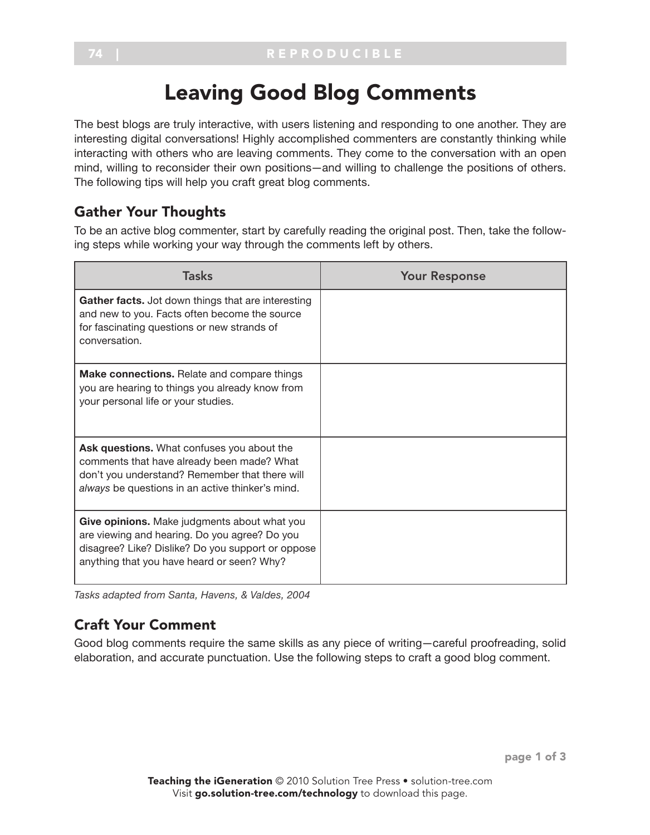# Leaving Good Blog Comments

The best blogs are truly interactive, with users listening and responding to one another. They are interesting digital conversations! Highly accomplished commenters are constantly thinking while interacting with others who are leaving comments. They come to the conversation with an open mind, willing to reconsider their own positions—and willing to challenge the positions of others. The following tips will help you craft great blog comments.

### Gather Your Thoughts

To be an active blog commenter, start by carefully reading the original post. Then, take the following steps while working your way through the comments left by others.

| <b>Tasks</b>                                                                                                                                                                                     | <b>Your Response</b> |
|--------------------------------------------------------------------------------------------------------------------------------------------------------------------------------------------------|----------------------|
| <b>Gather facts.</b> Jot down things that are interesting<br>and new to you. Facts often become the source<br>for fascinating questions or new strands of<br>conversation.                       |                      |
| <b>Make connections.</b> Relate and compare things<br>you are hearing to things you already know from<br>your personal life or your studies.                                                     |                      |
| Ask questions. What confuses you about the<br>comments that have already been made? What<br>don't you understand? Remember that there will<br>always be questions in an active thinker's mind.   |                      |
| Give opinions. Make judgments about what you<br>are viewing and hearing. Do you agree? Do you<br>disagree? Like? Dislike? Do you support or oppose<br>anything that you have heard or seen? Why? |                      |

*Tasks adapted from Santa, Havens, & Valdes, 2004*

# Craft Your Comment

Good blog comments require the same skills as any piece of writing—careful proofreading, solid elaboration, and accurate punctuation. Use the following steps to craft a good blog comment.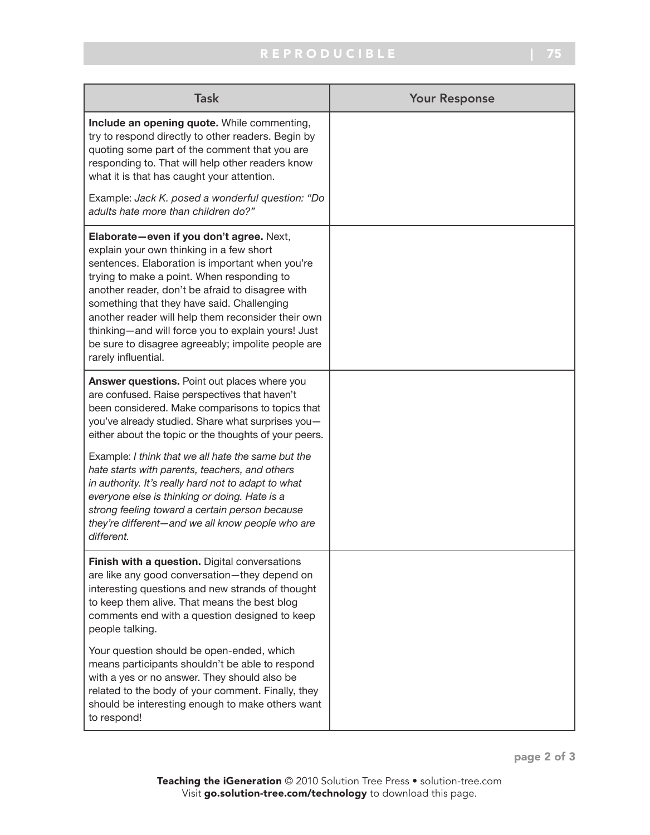| <b>Task</b>                                                                                                                                                                                                                                                                                                                                                                                                                                                                      | <b>Your Response</b> |
|----------------------------------------------------------------------------------------------------------------------------------------------------------------------------------------------------------------------------------------------------------------------------------------------------------------------------------------------------------------------------------------------------------------------------------------------------------------------------------|----------------------|
| Include an opening quote. While commenting,<br>try to respond directly to other readers. Begin by<br>quoting some part of the comment that you are<br>responding to. That will help other readers know<br>what it is that has caught your attention.                                                                                                                                                                                                                             |                      |
| Example: Jack K. posed a wonderful question: "Do<br>adults hate more than children do?"                                                                                                                                                                                                                                                                                                                                                                                          |                      |
| Elaborate-even if you don't agree. Next,<br>explain your own thinking in a few short<br>sentences. Elaboration is important when you're<br>trying to make a point. When responding to<br>another reader, don't be afraid to disagree with<br>something that they have said. Challenging<br>another reader will help them reconsider their own<br>thinking-and will force you to explain yours! Just<br>be sure to disagree agreeably; impolite people are<br>rarely influential. |                      |
| Answer questions. Point out places where you<br>are confused. Raise perspectives that haven't<br>been considered. Make comparisons to topics that<br>you've already studied. Share what surprises you-<br>either about the topic or the thoughts of your peers.                                                                                                                                                                                                                  |                      |
| Example: I think that we all hate the same but the<br>hate starts with parents, teachers, and others<br>in authority. It's really hard not to adapt to what<br>everyone else is thinking or doing. Hate is a<br>strong feeling toward a certain person because<br>they're different-and we all know people who are<br>different.                                                                                                                                                 |                      |
| <b>Finish with a question.</b> Digital conversations<br>are like any good conversation-they depend on<br>interesting questions and new strands of thought<br>to keep them alive. That means the best blog<br>comments end with a question designed to keep<br>people talking.                                                                                                                                                                                                    |                      |
| Your question should be open-ended, which<br>means participants shouldn't be able to respond<br>with a yes or no answer. They should also be<br>related to the body of your comment. Finally, they<br>should be interesting enough to make others want<br>to respond!                                                                                                                                                                                                            |                      |